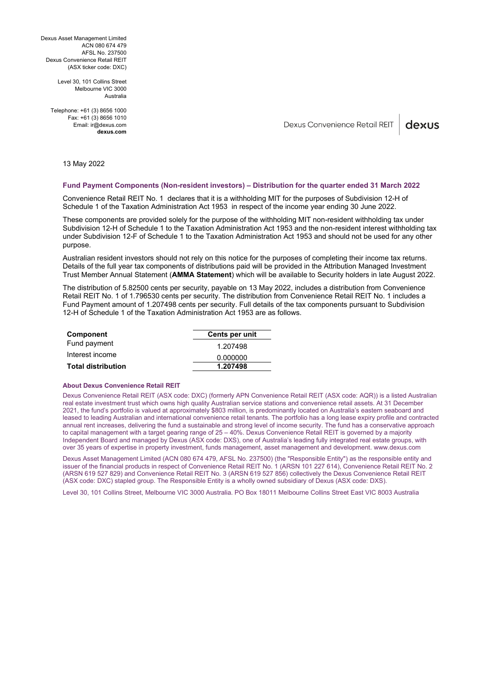Dexus Asset Management Limited ACN 080 674 479 AFSL No. 237500 Dexus Convenience Retail REIT (ASX ticker code: DXC)

> Level 30, 101 Collins Street Melbourne VIC 3000 Australia

Telephone: +61 (3) 8656 1000 Fax: +61 (3) 8656 1010 Email: ir@dexus.com **dexus.com**

Dexus Convenience Retail REIT dexus

13 May 2022

### **Fund Payment Components (Non-resident investors) – Distribution for the quarter ended 31 March 2022**

Convenience Retail REIT No. 1 declares that it is a withholding MIT for the purposes of Subdivision 12-H of Schedule 1 of the Taxation Administration Act 1953 in respect of the income year ending 30 June 2022.

These components are provided solely for the purpose of the withholding MIT non-resident withholding tax under Subdivision 12-H of Schedule 1 to the Taxation Administration Act 1953 and the non-resident interest withholding tax under Subdivision 12-F of Schedule 1 to the Taxation Administration Act 1953 and should not be used for any other purpose.

Australian resident investors should not rely on this notice for the purposes of completing their income tax returns. Details of the full year tax components of distributions paid will be provided in the Attribution Managed Investment Trust Member Annual Statement (**AMMA Statement**) which will be available to Security holders in late August 2022.

The distribution of 5.82500 cents per security, payable on 13 May 2022, includes a distribution from Convenience Retail REIT No. 1 of 1.796530 cents per security. The distribution from Convenience Retail REIT No. 1 includes a Fund Payment amount of 1.207498 cents per security. Full details of the tax components pursuant to Subdivision 12-H of Schedule 1 of the Taxation Administration Act 1953 are as follows.

| <b>Component</b>          | Cents per unit |
|---------------------------|----------------|
| Fund payment              | 1.207498       |
| Interest income           | 0.000000       |
| <b>Total distribution</b> | 1.207498       |

# **About Dexus Convenience Retail REIT**

Dexus Convenience Retail REIT (ASX code: DXC) (formerly APN Convenience Retail REIT (ASX code: AQR)) is a listed Australian real estate investment trust which owns high quality Australian service stations and convenience retail assets. At 31 December 2021, the fund's portfolio is valued at approximately \$803 million, is predominantly located on Australia's eastern seaboard and leased to leading Australian and international convenience retail tenants. The portfolio has a long lease expiry profile and contracted annual rent increases, delivering the fund a sustainable and strong level of income security. The fund has a conservative approach to capital management with a target gearing range of 25 – 40%. Dexus Convenience Retail REIT is governed by a majority Independent Board and managed by Dexus (ASX code: DXS), one of Australia's leading fully integrated real estate groups, with over 35 years of expertise in property investment, funds management, asset management and development. www.dexus.com

Dexus Asset Management Limited (ACN 080 674 479, AFSL No. 237500) (the "Responsible Entity") as the responsible entity and issuer of the financial products in respect of Convenience Retail REIT No. 1 (ARSN 101 227 614), Convenience Retail REIT No. 2 (ARSN 619 527 829) and Convenience Retail REIT No. 3 (ARSN 619 527 856) collectively the Dexus Convenience Retail REIT (ASX code: DXC) stapled group. The Responsible Entity is a wholly owned subsidiary of Dexus (ASX code: DXS).

Level 30, 101 Collins Street, Melbourne VIC 3000 Australia. PO Box 18011 Melbourne Collins Street East VIC 8003 Australia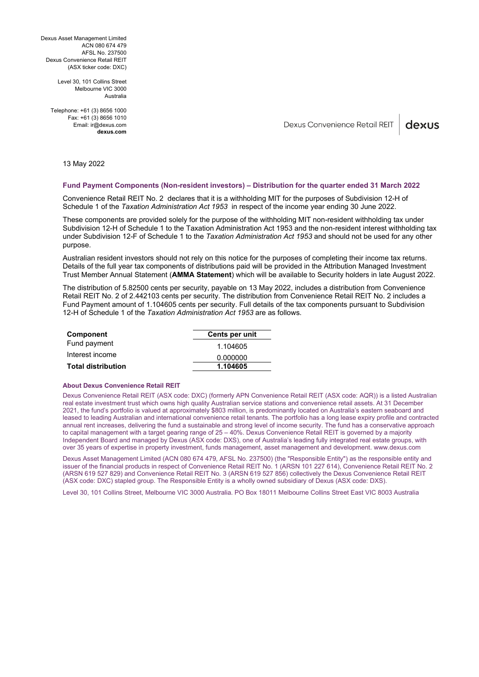Dexus Asset Management Limited ACN 080 674 479 AFSL No. 237500 Dexus Convenience Retail REIT (ASX ticker code: DXC)

> Level 30, 101 Collins Street Melbourne VIC 3000 Australia

Telephone: +61 (3) 8656 1000 Fax: +61 (3) 8656 1010 Email: ir@dexus.com **dexus.com**

Dexus Convenience Retail REIT dexus

13 May 2022

### **Fund Payment Components (Non-resident investors) – Distribution for the quarter ended 31 March 2022**

Convenience Retail REIT No. 2 declares that it is a withholding MIT for the purposes of Subdivision 12-H of Schedule 1 of the *Taxation Administration Act 1953* in respect of the income year ending 30 June 2022.

These components are provided solely for the purpose of the withholding MIT non-resident withholding tax under Subdivision 12-H of Schedule 1 to the Taxation Administration Act 1953 and the non-resident interest withholding tax under Subdivision 12-F of Schedule 1 to the *Taxation Administration Act 1953* and should not be used for any other purpose.

Australian resident investors should not rely on this notice for the purposes of completing their income tax returns. Details of the full year tax components of distributions paid will be provided in the Attribution Managed Investment Trust Member Annual Statement (**AMMA Statement**) which will be available to Security holders in late August 2022.

The distribution of 5.82500 cents per security, payable on 13 May 2022, includes a distribution from Convenience Retail REIT No. 2 of 2.442103 cents per security. The distribution from Convenience Retail REIT No. 2 includes a Fund Payment amount of 1.104605 cents per security. Full details of the tax components pursuant to Subdivision 12-H of Schedule 1 of the *Taxation Administration Act 1953* are as follows.

| <b>Component</b>          | Cents per unit |
|---------------------------|----------------|
| Fund payment              | 1.104605       |
| Interest income           | 0.000000       |
| <b>Total distribution</b> | 1.104605       |

# **About Dexus Convenience Retail REIT**

Dexus Convenience Retail REIT (ASX code: DXC) (formerly APN Convenience Retail REIT (ASX code: AQR)) is a listed Australian real estate investment trust which owns high quality Australian service stations and convenience retail assets. At 31 December 2021, the fund's portfolio is valued at approximately \$803 million, is predominantly located on Australia's eastern seaboard and leased to leading Australian and international convenience retail tenants. The portfolio has a long lease expiry profile and contracted annual rent increases, delivering the fund a sustainable and strong level of income security. The fund has a conservative approach to capital management with a target gearing range of 25 – 40%. Dexus Convenience Retail REIT is governed by a majority Independent Board and managed by Dexus (ASX code: DXS), one of Australia's leading fully integrated real estate groups, with over 35 years of expertise in property investment, funds management, asset management and development. www.dexus.com

Dexus Asset Management Limited (ACN 080 674 479, AFSL No. 237500) (the "Responsible Entity") as the responsible entity and issuer of the financial products in respect of Convenience Retail REIT No. 1 (ARSN 101 227 614), Convenience Retail REIT No. 2 (ARSN 619 527 829) and Convenience Retail REIT No. 3 (ARSN 619 527 856) collectively the Dexus Convenience Retail REIT (ASX code: DXC) stapled group. The Responsible Entity is a wholly owned subsidiary of Dexus (ASX code: DXS).

Level 30, 101 Collins Street, Melbourne VIC 3000 Australia. PO Box 18011 Melbourne Collins Street East VIC 8003 Australia